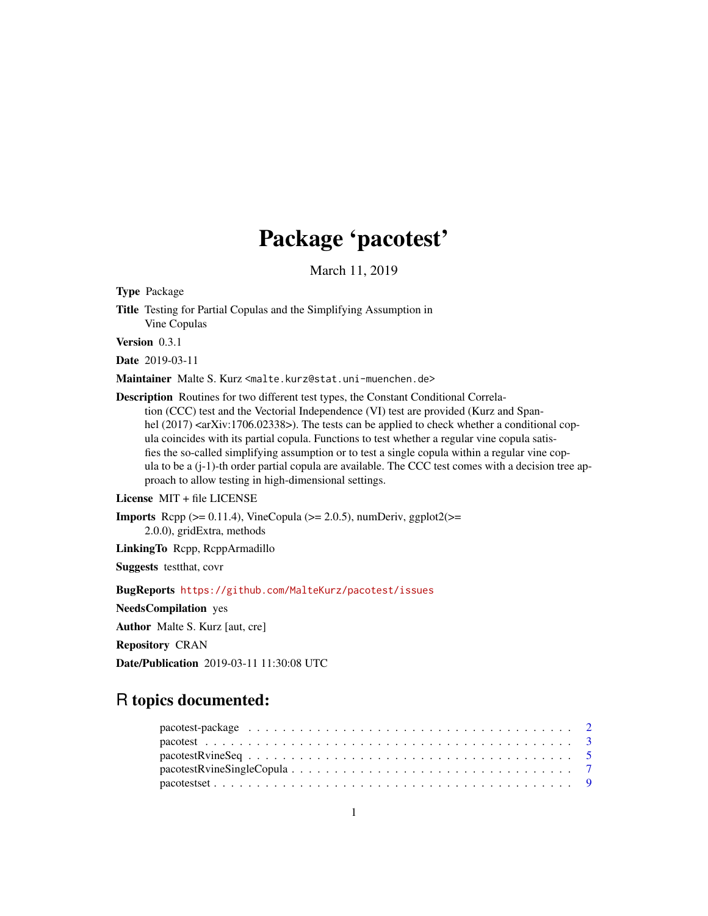## Package 'pacotest'

March 11, 2019

<span id="page-0-0"></span>Type Package

Title Testing for Partial Copulas and the Simplifying Assumption in Vine Copulas

Version 0.3.1

Date 2019-03-11

Maintainer Malte S. Kurz <malte.kurz@stat.uni-muenchen.de>

Description Routines for two different test types, the Constant Conditional Correlation (CCC) test and the Vectorial Independence (VI) test are provided (Kurz and Spanhel  $(2017)$  <arXiv:1706.02338>). The tests can be applied to check whether a conditional copula coincides with its partial copula. Functions to test whether a regular vine copula satisfies the so-called simplifying assumption or to test a single copula within a regular vine copula to be a  $(j-1)$ -th order partial copula are available. The CCC test comes with a decision tree approach to allow testing in high-dimensional settings.

License MIT + file LICENSE

**Imports** Rcpp  $(>= 0.11.4)$ , VineCopula  $(>= 2.0.5)$ , numDeriv, ggplot2 $(>= 1.11.4)$ 2.0.0), gridExtra, methods

LinkingTo Rcpp, RcppArmadillo

Suggests testthat, covr

BugReports <https://github.com/MalteKurz/pacotest/issues>

NeedsCompilation yes

Author Malte S. Kurz [aut, cre]

Repository CRAN

Date/Publication 2019-03-11 11:30:08 UTC

### R topics documented:

| $pacotes RvineSingleCopula \dots \dots \dots \dots \dots \dots \dots \dots \dots \dots \dots \dots \dots \dots \dots \dots \dots$ |  |  |  |  |  |  |  |  |  |  |  |  |  |  |  |  |  |  |  |
|-----------------------------------------------------------------------------------------------------------------------------------|--|--|--|--|--|--|--|--|--|--|--|--|--|--|--|--|--|--|--|
|                                                                                                                                   |  |  |  |  |  |  |  |  |  |  |  |  |  |  |  |  |  |  |  |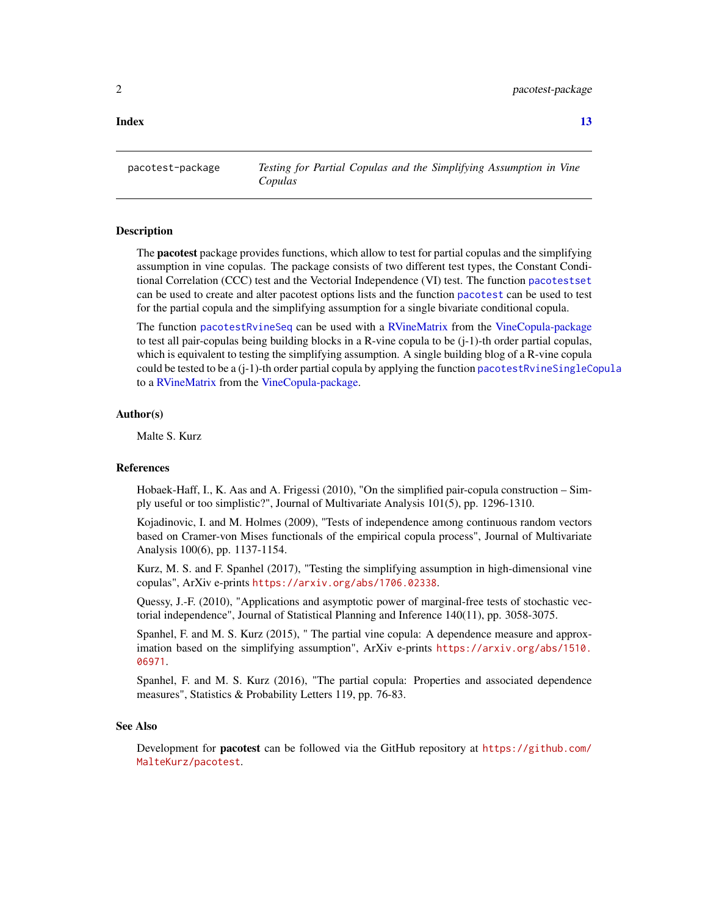#### <span id="page-1-0"></span>**Index** [13](#page-12-0)

<span id="page-1-1"></span>pacotest-package *Testing for Partial Copulas and the Simplifying Assumption in Vine Copulas*

#### Description

The **pacotest** package provides functions, which allow to test for partial copulas and the simplifying assumption in vine copulas. The package consists of two different test types, the Constant Conditional Correlation (CCC) test and the Vectorial Independence (VI) test. The function [pacotestset](#page-8-1) can be used to create and alter pacotest options lists and the function [pacotest](#page-2-1) can be used to test for the partial copula and the simplifying assumption for a single bivariate conditional copula.

The function [pacotestRvineSeq](#page-4-1) can be used with a [RVineMatrix](#page-0-0) from the [VineCopula-package](#page-0-0) to test all pair-copulas being building blocks in a R-vine copula to be (j-1)-th order partial copulas, which is equivalent to testing the simplifying assumption. A single building blog of a R-vine copula could be tested to be a (j-1)-th order partial copula by applying the function [pacotestRvineSingleCopula](#page-6-1) to a [RVineMatrix](#page-0-0) from the [VineCopula-package.](#page-0-0)

#### Author(s)

Malte S. Kurz

#### References

Hobaek-Haff, I., K. Aas and A. Frigessi (2010), "On the simplified pair-copula construction – Simply useful or too simplistic?", Journal of Multivariate Analysis 101(5), pp. 1296-1310.

Kojadinovic, I. and M. Holmes (2009), "Tests of independence among continuous random vectors based on Cramer-von Mises functionals of the empirical copula process", Journal of Multivariate Analysis 100(6), pp. 1137-1154.

Kurz, M. S. and F. Spanhel (2017), "Testing the simplifying assumption in high-dimensional vine copulas", ArXiv e-prints <https://arxiv.org/abs/1706.02338>.

Quessy, J.-F. (2010), "Applications and asymptotic power of marginal-free tests of stochastic vectorial independence", Journal of Statistical Planning and Inference 140(11), pp. 3058-3075.

Spanhel, F. and M. S. Kurz (2015), " The partial vine copula: A dependence measure and approximation based on the simplifying assumption", ArXiv e-prints [https://arxiv.org/abs/1510.](https://arxiv.org/abs/1510.06971) [06971](https://arxiv.org/abs/1510.06971).

Spanhel, F. and M. S. Kurz (2016), "The partial copula: Properties and associated dependence measures", Statistics & Probability Letters 119, pp. 76-83.

#### See Also

Development for **pacotest** can be followed via the GitHub repository at [https://github.com/](https://github.com/MalteKurz/pacotest) [MalteKurz/pacotest](https://github.com/MalteKurz/pacotest).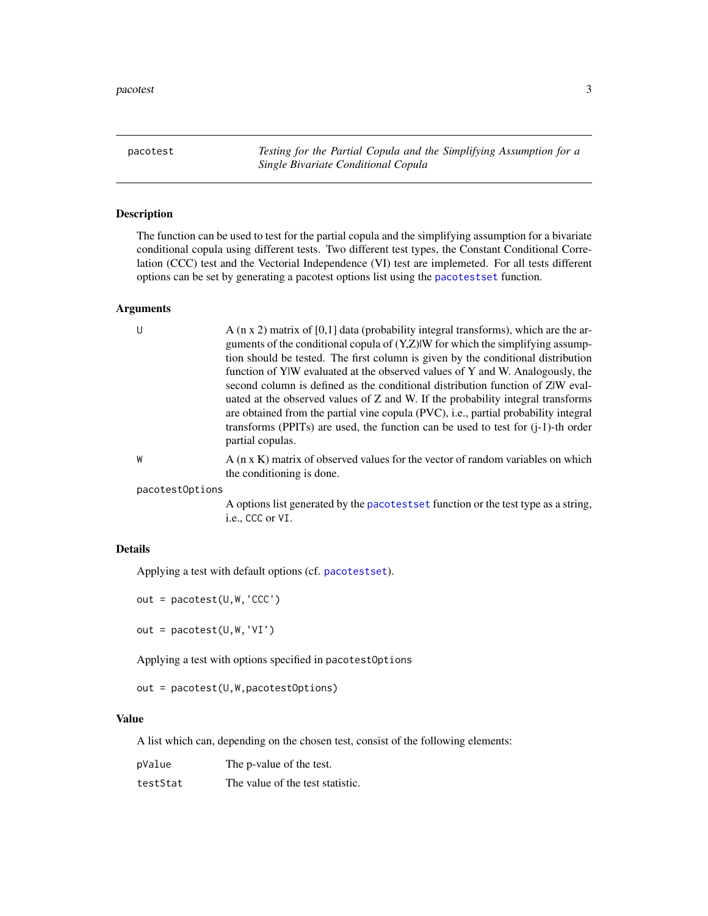<span id="page-2-1"></span><span id="page-2-0"></span>pacotest *Testing for the Partial Copula and the Simplifying Assumption for a Single Bivariate Conditional Copula*

#### Description

The function can be used to test for the partial copula and the simplifying assumption for a bivariate conditional copula using different tests. Two different test types, the Constant Conditional Correlation (CCC) test and the Vectorial Independence (VI) test are implemeted. For all tests different options can be set by generating a pacotest options list using the [pacotestset](#page-8-1) function.

#### Arguments

| -U              | A $(n \times 2)$ matrix of [0,1] data (probability integral transforms), which are the ar-<br>guments of the conditional copula of $(Y,Z) W$ for which the simplifying assump-<br>tion should be tested. The first column is given by the conditional distribution<br>function of YIW evaluated at the observed values of Y and W. Analogously, the<br>second column is defined as the conditional distribution function of ZW eval-<br>uated at the observed values of Z and W. If the probability integral transforms<br>are obtained from the partial vine copula (PVC), i.e., partial probability integral<br>transforms (PPITs) are used, the function can be used to test for $(i-1)$ -th order<br>partial copulas. |
|-----------------|---------------------------------------------------------------------------------------------------------------------------------------------------------------------------------------------------------------------------------------------------------------------------------------------------------------------------------------------------------------------------------------------------------------------------------------------------------------------------------------------------------------------------------------------------------------------------------------------------------------------------------------------------------------------------------------------------------------------------|
| W               | A (n x K) matrix of observed values for the vector of random variables on which<br>the conditioning is done.                                                                                                                                                                                                                                                                                                                                                                                                                                                                                                                                                                                                              |
| pacotest0ptions |                                                                                                                                                                                                                                                                                                                                                                                                                                                                                                                                                                                                                                                                                                                           |

A options list generated by the [pacotestset](#page-8-1) function or the test type as a string, i.e., CCC or VI.

#### Details

Applying a test with default options (cf. [pacotestset](#page-8-1)).

out = pacotest(U,W,'CCC')

out = pacotest(U,W,'VI')

Applying a test with options specified in pacotestOptions

out = pacotest(U,W,pacotestOptions)

#### Value

A list which can, depending on the chosen test, consist of the following elements:

| pValue   | The p-value of the test.         |
|----------|----------------------------------|
| testStat | The value of the test statistic. |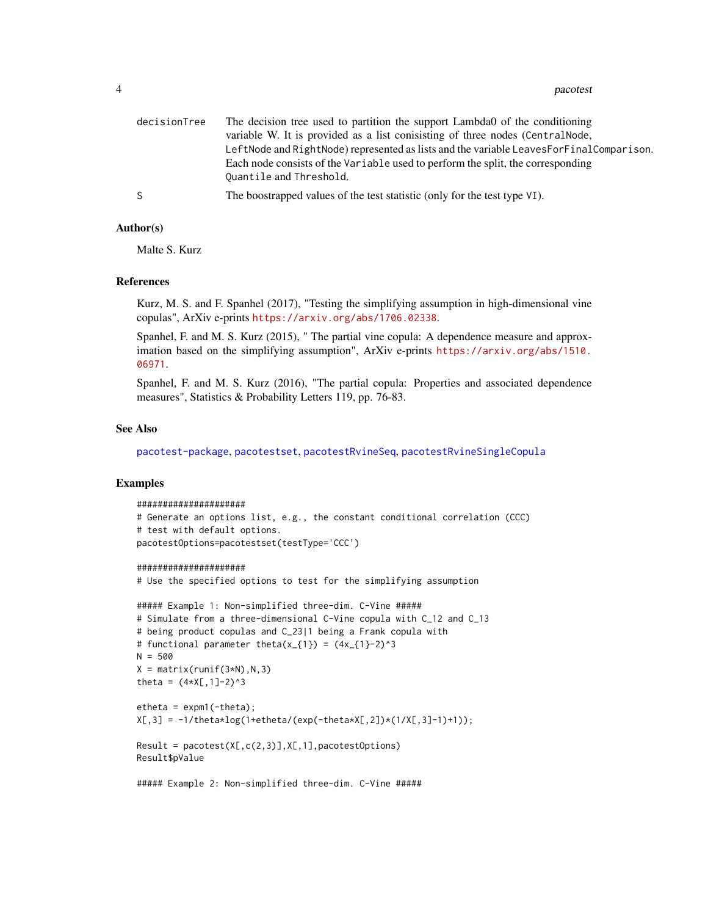#### <span id="page-3-0"></span>4 pacotest and the pacotest of the pacotest and the pacotest  $\mu$

| decisionTree | The decision tree used to partition the support Lambda0 of the conditioning             |
|--------------|-----------------------------------------------------------------------------------------|
|              | variable W. It is provided as a list conisisting of three nodes (CentralNode,           |
|              | LeftNode and RightNode) represented as lists and the variable LeavesForFinalComparison. |
|              | Each node consists of the Variable used to perform the split, the corresponding         |
|              | Quantile and Threshold.                                                                 |
| S.           | The boostrapped values of the test statistic (only for the test type VI).               |

#### Author(s)

Malte S. Kurz

#### References

Kurz, M. S. and F. Spanhel (2017), "Testing the simplifying assumption in high-dimensional vine copulas", ArXiv e-prints <https://arxiv.org/abs/1706.02338>.

Spanhel, F. and M. S. Kurz (2015), " The partial vine copula: A dependence measure and approximation based on the simplifying assumption", ArXiv e-prints [https://arxiv.org/abs/1510.](https://arxiv.org/abs/1510.06971) [06971](https://arxiv.org/abs/1510.06971).

Spanhel, F. and M. S. Kurz (2016), "The partial copula: Properties and associated dependence measures", Statistics & Probability Letters 119, pp. 76-83.

#### See Also

[pacotest-package](#page-1-1), [pacotestset](#page-8-1), [pacotestRvineSeq](#page-4-1), [pacotestRvineSingleCopula](#page-6-1)

#### Examples

```
#####################
# Generate an options list, e.g., the constant conditional correlation (CCC)
# test with default options.
pacotestOptions=pacotestset(testType='CCC')
```
#### #####################

# Use the specified options to test for the simplifying assumption

```
##### Example 1: Non-simplified three-dim. C-Vine #####
# Simulate from a three-dimensional C-Vine copula with C_12 and C_13
# being product copulas and C_23|1 being a Frank copula with
# functional parameter theta(x_{-1}) = (4x_{-1})-2)^3
N = 500X = matrix(runif(3*N),N,3)theta = (4 \times X[, 1]-2)^3etheta = expm1(-theta);X[, 3] = -1/theta*log(1+etheta/(exp(-theta*X[,2])*(1/X[,3]-1)+1));Result = pacotest(X[,c(2,3)],X[,1], pacotestOptions)Result$pValue
```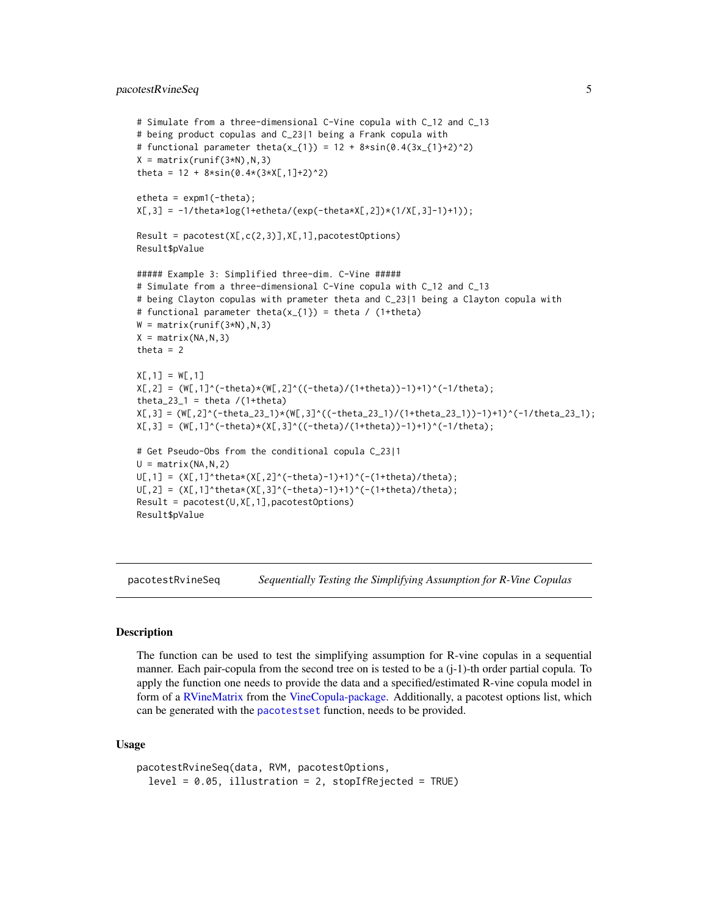#### <span id="page-4-0"></span>pacotestRvineSeq 5

```
# Simulate from a three-dimensional C-Vine copula with C_12 and C_13
# being product copulas and C_23|1 being a Frank copula with
# functional parameter theta(x_{1}) = 12 + 8*sin(0.4(3x_{1}+2)^2)X = matrix(runif(3*N),N,3)theta = 12 + 8 \times \sin(0.4 \times (3 \times X[, 1]+2)^2)etheta = expm1(-theta);X[, 3] = -1/theta*log(1+etheta/(exp(-theta*X[,2])*(1/X[,3]-1)+1));Result = pacotest(X[,c(2,3)],X[,1], pacotestOptions)Result$pValue
##### Example 3: Simplified three-dim. C-Vine #####
# Simulate from a three-dimensional C-Vine copula with C_12 and C_13
# being Clayton copulas with prameter theta and C_23|1 being a Clayton copula with
# functional parameter theta(x_{1}) = theta / (1+theta)
W = matrix(runit(3*N),N,3)X = matrix(NA, N, 3)theta = 2X[, 1] = W[, 1]X[, 2] = (W[, 1]^(-theta) * (W[, 2]^((-theta))/(1+theta))-1)+1<sup>'</sup>(-1/theta);
theta_23_1 = theta /(1+theta)X[,3] = (W[,2]^(-theta_22_1)*(W[,3]^((-theta_23_1)/(1+theta_22_1))/1)+1)<sup>2</sup>(-1/theta_23_1);
X[, 3] = (W[, 1]^(-theta) * (X[, 3]^((-theta))/(1+theta))-1)<sup>+</sup>1)<sup>^</sup>(-1/theta);
# Get Pseudo-Obs from the conditional copula C_23|1
U = matrix(NA, N, 2)U[,1] = (X[,1]^\wedgetheta*(X[,2]^(-theta)-1)+1)^(-(1+theta)/theta);
U[, 2] = (X[, 1]^\wedgetheta*(X[,3]^(-theta)-1)+1)^(-(1+theta)/theta);
Result = pacotest(U, X[, 1], pacotestOptions)Result$pValue
```
<span id="page-4-1"></span>pacotestRvineSeq *Sequentially Testing the Simplifying Assumption for R-Vine Copulas*

#### **Description**

The function can be used to test the simplifying assumption for R-vine copulas in a sequential manner. Each pair-copula from the second tree on is tested to be a (j-1)-th order partial copula. To apply the function one needs to provide the data and a specified/estimated R-vine copula model in form of a [RVineMatrix](#page-0-0) from the [VineCopula-package.](#page-0-0) Additionally, a pacotest options list, which can be generated with the [pacotestset](#page-8-1) function, needs to be provided.

#### Usage

```
pacotestRvineSeq(data, RVM, pacotestOptions,
  level = 0.05, illustration = 2, stopIfRejected = TRUE)
```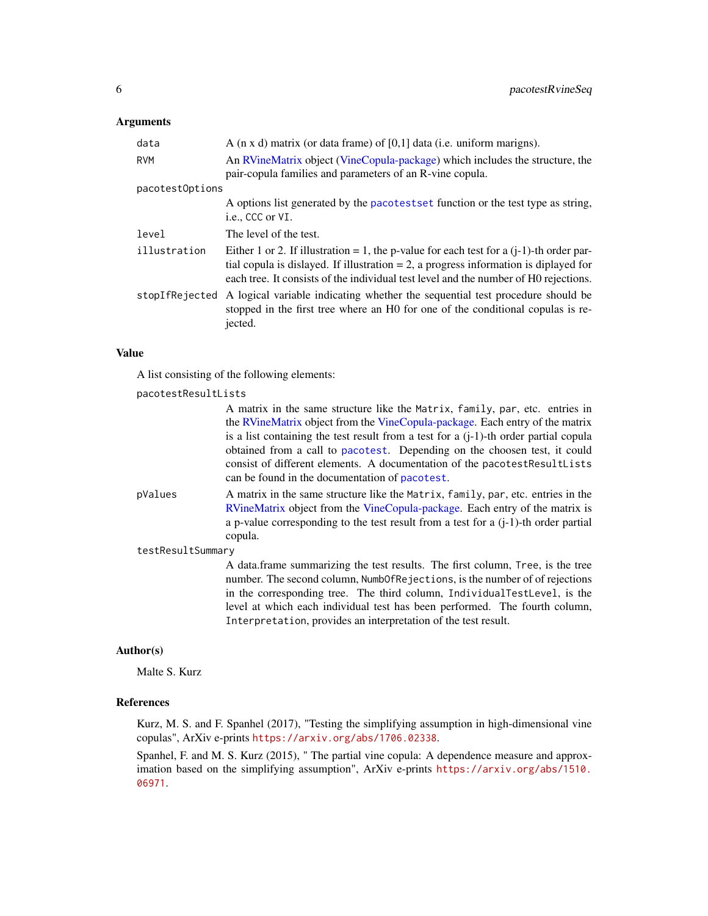#### <span id="page-5-0"></span>Arguments

| data            | A ( $\pi$ x d) matrix (or data frame) of [0,1] data (i.e. uniform marigns).                                                                                                                                                                                                   |
|-----------------|-------------------------------------------------------------------------------------------------------------------------------------------------------------------------------------------------------------------------------------------------------------------------------|
| <b>RVM</b>      | An RVineMatrix object (VineCopula-package) which includes the structure, the<br>pair-copula families and parameters of an R-vine copula.                                                                                                                                      |
| pacotest0ptions |                                                                                                                                                                                                                                                                               |
|                 | A options list generated by the pacotestset function or the test type as string,<br>i.e., CCC or VI.                                                                                                                                                                          |
| level           | The level of the test.                                                                                                                                                                                                                                                        |
| illustration    | Either 1 or 2. If illustration = 1, the p-value for each test for a $(i-1)$ -th order par-<br>tial copula is dislayed. If illustration $= 2$ , a progress information is diplayed for<br>each tree. It consists of the individual test level and the number of H0 rejections. |
| stopIfRejected  | A logical variable indicating whether the sequential test procedure should be<br>stopped in the first tree where an H0 for one of the conditional copulas is re-<br>jected.                                                                                                   |

#### Value

A list consisting of the following elements:

#### pacotestResultLists

|                   | A matrix in the same structure like the Matrix, family, par, etc. entries in                                                                                                                              |
|-------------------|-----------------------------------------------------------------------------------------------------------------------------------------------------------------------------------------------------------|
|                   | the RVineMatrix object from the VineCopula-package. Each entry of the matrix                                                                                                                              |
|                   | is a list containing the test result from a test for a $(i-1)$ -th order partial copula                                                                                                                   |
|                   | obtained from a call to pacotest. Depending on the choosen test, it could<br>consist of different elements. A documentation of the pacotest ResultLists<br>can be found in the documentation of pacotest. |
|                   |                                                                                                                                                                                                           |
| pValues           | A matrix in the same structure like the Matrix, family, par, etc. entries in the                                                                                                                          |
|                   | RVineMatrix object from the VineCopula-package. Each entry of the matrix is                                                                                                                               |
|                   | a p-value corresponding to the test result from a test for a $(i-1)$ -th order partial                                                                                                                    |
|                   | copula.                                                                                                                                                                                                   |
| testResultSummary |                                                                                                                                                                                                           |
|                   | A data frame summarizing the test results. The first column, Tree, is the tree<br>number. The second column, Numb0fRejections, is the number of of rejections                                             |
|                   | in the corresponding tree. The third column, IndividualTestLevel, is the                                                                                                                                  |
|                   | level at which each individual test has been performed. The fourth column,                                                                                                                                |
|                   | Interpretation, provides an interpretation of the test result.                                                                                                                                            |

#### Author(s)

Malte S. Kurz

#### References

Kurz, M. S. and F. Spanhel (2017), "Testing the simplifying assumption in high-dimensional vine copulas", ArXiv e-prints <https://arxiv.org/abs/1706.02338>.

Spanhel, F. and M. S. Kurz (2015), " The partial vine copula: A dependence measure and approximation based on the simplifying assumption", ArXiv e-prints [https://arxiv.org/abs/1510.](https://arxiv.org/abs/1510.06971) [06971](https://arxiv.org/abs/1510.06971).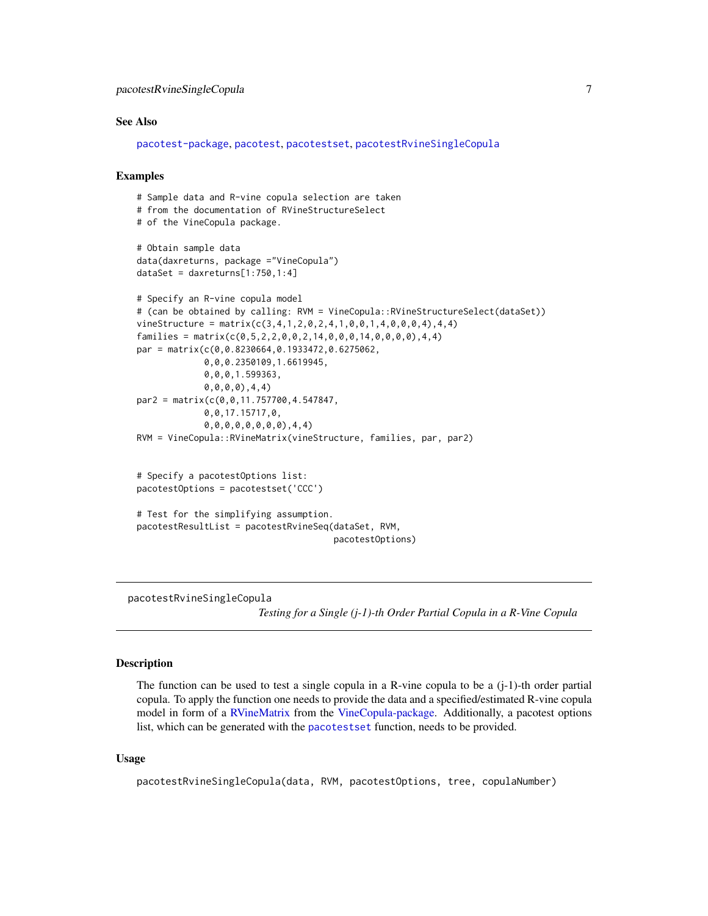#### <span id="page-6-0"></span>See Also

```
pacotest-package, pacotest, pacotestset, pacotestRvineSingleCopula
```
#### Examples

```
# Sample data and R-vine copula selection are taken
# from the documentation of RVineStructureSelect
# of the VineCopula package.
# Obtain sample data
data(daxreturns, package ="VineCopula")
dataSet = daxreturns[1:750, 1:4]# Specify an R-vine copula model
# (can be obtained by calling: RVM = VineCopula::RVineStructureSelect(dataSet))
vineStructure = matrix(c(3,4,1,2,0,2,4,1,0,0,1,4,0,0,0,4),4,4)
families = matrix(c(0, 5, 2, 2, 0, 0, 2, 14, 0, 0, 0, 14, 0, 0, 0, 0, 0, 4, 4)par = matrix(c(0,0.8230664,0.1933472,0.6275062,
             0,0,0.2350109,1.6619945,
             0,0,0,1.599363,
             0,0,0,0),4,4)
par2 = matrix(c(0,0,11.757700,4.547847,
             0,0,17.15717,0,
             0,0,0,0,0,0,0,0),4,4)
RVM = VineCopula::RVineMatrix(vineStructure, families, par, par2)
# Specify a pacotestOptions list:
pacotestOptions = pacotestset('CCC')
# Test for the simplifying assumption.
pacotestResultList = pacotestRvineSeq(dataSet, RVM,
                                       pacotestOptions)
```
<span id="page-6-1"></span>pacotestRvineSingleCopula

*Testing for a Single (j-1)-th Order Partial Copula in a R-Vine Copula*

#### **Description**

The function can be used to test a single copula in a R-vine copula to be a  $(i-1)$ -th order partial copula. To apply the function one needs to provide the data and a specified/estimated R-vine copula model in form of a [RVineMatrix](#page-0-0) from the [VineCopula-package.](#page-0-0) Additionally, a pacotest options list, which can be generated with the [pacotestset](#page-8-1) function, needs to be provided.

#### Usage

pacotestRvineSingleCopula(data, RVM, pacotestOptions, tree, copulaNumber)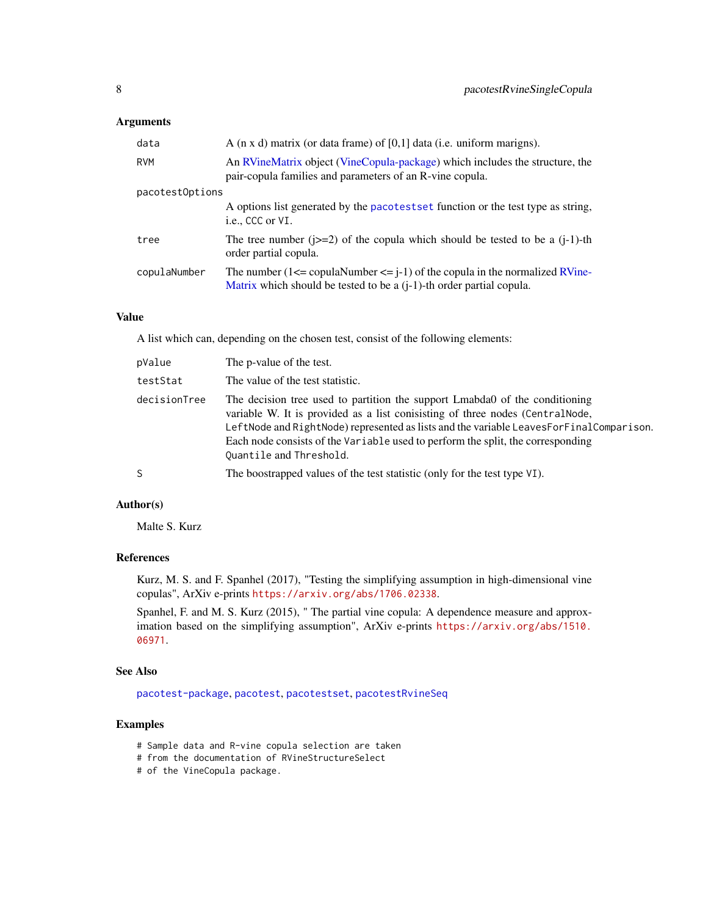#### <span id="page-7-0"></span>Arguments

| data            | A $(n \times d)$ matrix (or data frame) of $[0,1]$ data (i.e. uniform marigns).                                                                                   |  |  |  |  |
|-----------------|-------------------------------------------------------------------------------------------------------------------------------------------------------------------|--|--|--|--|
| RVM             | An RVineMatrix object (VineCopula-package) which includes the structure, the<br>pair-copula families and parameters of an R-vine copula.                          |  |  |  |  |
| pacotest0ptions |                                                                                                                                                                   |  |  |  |  |
|                 | A options list generated by the pacotestset function or the test type as string,<br>i.e., CCC or VI.                                                              |  |  |  |  |
| tree            | The tree number ( $\dot{z}=2$ ) of the copula which should be tested to be a ( $\dot{z}=1$ )-th<br>order partial copula.                                          |  |  |  |  |
| copulaNumber    | The number $(1 \leq c$ copulaNumber $\leq$ j-1) of the copula in the normalized RVine-<br>Matrix which should be tested to be a $(i-1)$ -th order partial copula. |  |  |  |  |

#### Value

A list which can, depending on the chosen test, consist of the following elements:

| pValue       | The p-value of the test.                                                                                                                                                                                                                                                                                                                                              |
|--------------|-----------------------------------------------------------------------------------------------------------------------------------------------------------------------------------------------------------------------------------------------------------------------------------------------------------------------------------------------------------------------|
| testStat     | The value of the test statistic.                                                                                                                                                                                                                                                                                                                                      |
| decisionTree | The decision tree used to partition the support Lmabda0 of the conditioning<br>variable W. It is provided as a list conisisting of three nodes (CentralNode,<br>LeftNode and RightNode) represented as lists and the variable LeavesForFinalComparison.<br>Each node consists of the Variable used to perform the split, the corresponding<br>Quantile and Threshold. |
| S            | The boostrapped values of the test statistic (only for the test type VI).                                                                                                                                                                                                                                                                                             |

#### Author(s)

Malte S. Kurz

#### References

Kurz, M. S. and F. Spanhel (2017), "Testing the simplifying assumption in high-dimensional vine copulas", ArXiv e-prints <https://arxiv.org/abs/1706.02338>.

Spanhel, F. and M. S. Kurz (2015), " The partial vine copula: A dependence measure and approximation based on the simplifying assumption", ArXiv e-prints [https://arxiv.org/abs/1510.](https://arxiv.org/abs/1510.06971) [06971](https://arxiv.org/abs/1510.06971).

#### See Also

[pacotest-package](#page-1-1), [pacotest](#page-2-1), [pacotestset](#page-8-1), [pacotestRvineSeq](#page-4-1)

#### Examples

- # Sample data and R-vine copula selection are taken
- # from the documentation of RVineStructureSelect
- # of the VineCopula package.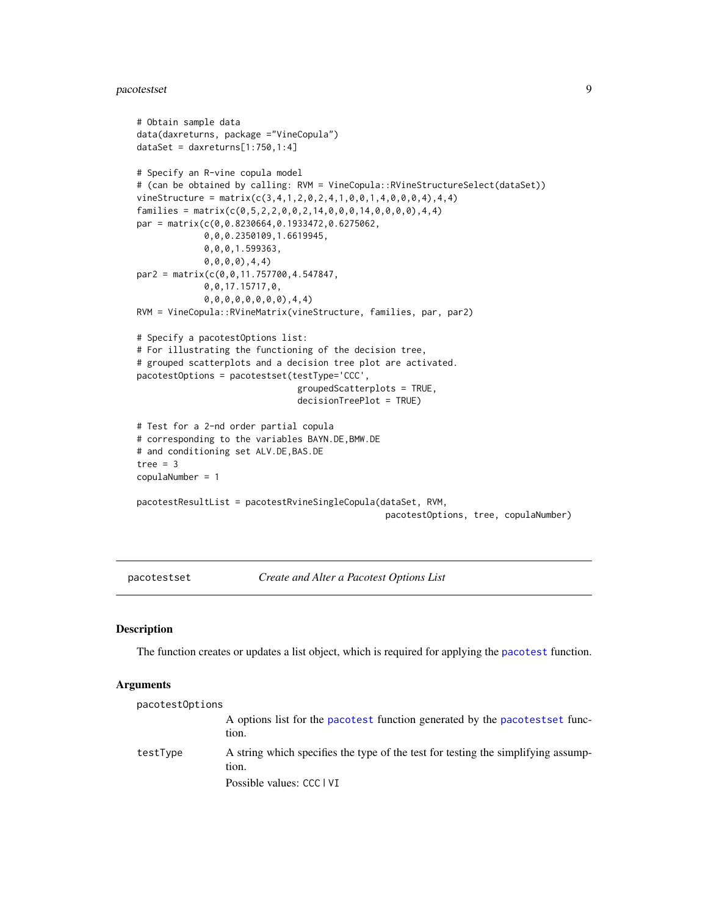#### <span id="page-8-0"></span>pacotestset 99 and 200 million and 200 million and 200 million and 200 million and 200 million and 200 million

```
# Obtain sample data
data(daxreturns, package ="VineCopula")
dataSet = daxreturns[1:750,1:4]# Specify an R-vine copula model
# (can be obtained by calling: RVM = VineCopula::RVineStructureSelect(dataSet))
vineStructure = matrix(c(3, 4, 1, 2, 0, 2, 4, 1, 0, 0, 1, 4, 0, 0, 0, 4), 4, 4)families = matrix(c(0, 5, 2, 2, 0, 0, 2, 14, 0, 0, 0, 14, 0, 0, 0, 0), 4, 4)par = matrix(c(0,0.8230664,0.1933472,0.6275062,
             0,0,0.2350109,1.6619945,
             0,0,0,1.599363,
             0,0,0,0),4,4)
par2 = matrix(c(0,0,11.757700,4.547847,
             0,0,17.15717,0,
             0,0,0,0,0,0,0,0),4,4)
RVM = VineCopula::RVineMatrix(vineStructure, families, par, par2)
# Specify a pacotestOptions list:
# For illustrating the functioning of the decision tree,
# grouped scatterplots and a decision tree plot are activated.
pacotestOptions = pacotestset(testType='CCC',
                                groupedScatterplots = TRUE,
                                decisionTreePlot = TRUE)
# Test for a 2-nd order partial copula
# corresponding to the variables BAYN.DE,BMW.DE
# and conditioning set ALV.DE,BAS.DE
tree = 3copulaNumber = 1
pacotestResultList = pacotestRvineSingleCopula(dataSet, RVM,
                                                  pacotestOptions, tree, copulaNumber)
```
<span id="page-8-1"></span>pacotestset *Create and Alter a Pacotest Options List*

#### Description

The function creates or updates a list object, which is required for applying the [pacotest](#page-2-1) function.

#### Arguments

| pacotest0ptions |                                                                                            |
|-----------------|--------------------------------------------------------------------------------------------|
|                 | A options list for the pacotest function generated by the pacotestset func-<br>tion.       |
| testType        | A string which specifies the type of the test for testing the simplifying assump-<br>tion. |
|                 | Possible values: CCC   VI                                                                  |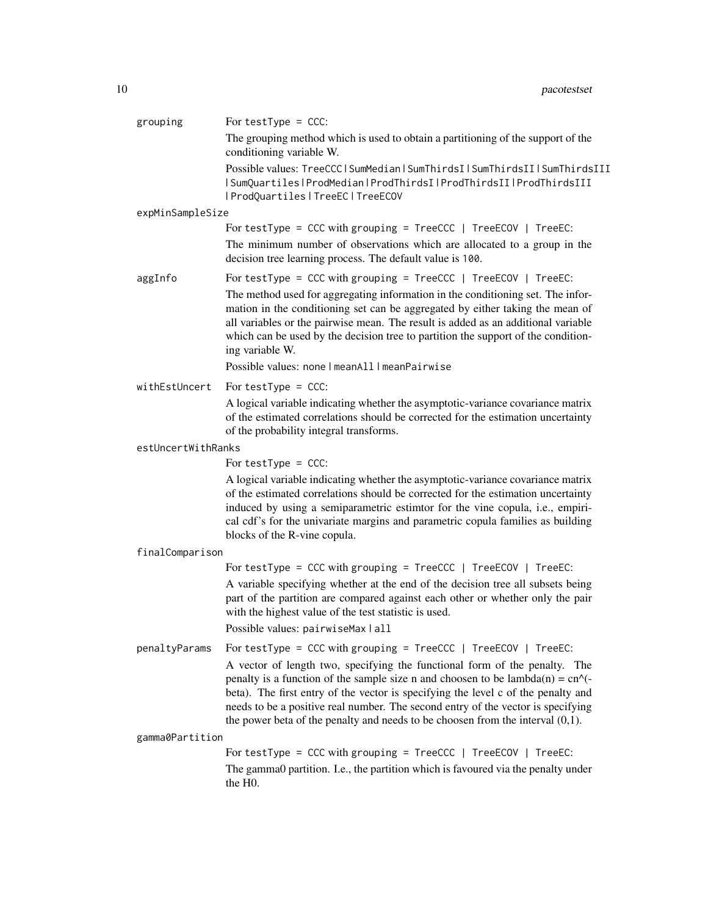| grouping           | For testType = $CCC:$                                                                                                                                                                                                                                                                                                                                                                                                                                                              |
|--------------------|------------------------------------------------------------------------------------------------------------------------------------------------------------------------------------------------------------------------------------------------------------------------------------------------------------------------------------------------------------------------------------------------------------------------------------------------------------------------------------|
|                    | The grouping method which is used to obtain a partitioning of the support of the<br>conditioning variable W.                                                                                                                                                                                                                                                                                                                                                                       |
|                    | Possible values: TreeCCC   SumMedian   SumThirdsI   SumThirdsII   SumThirdsIII<br>  SumQuartiles   ProdMedian   ProdThirdsI   ProdThirdsII   ProdThirdsIII<br>  ProdQuartiles   TreeEC   TreeECOV                                                                                                                                                                                                                                                                                  |
| expMinSampleSize   |                                                                                                                                                                                                                                                                                                                                                                                                                                                                                    |
|                    | For testType = CCC with grouping = $TreeCC$   TreeECOV   TreeEC:                                                                                                                                                                                                                                                                                                                                                                                                                   |
|                    | The minimum number of observations which are allocated to a group in the<br>decision tree learning process. The default value is 100.                                                                                                                                                                                                                                                                                                                                              |
| aggInfo            | For testType = CCC with grouping = $TreeCC$   $TreeECOV$   $TreeEC$ :                                                                                                                                                                                                                                                                                                                                                                                                              |
|                    | The method used for aggregating information in the conditioning set. The infor-<br>mation in the conditioning set can be aggregated by either taking the mean of<br>all variables or the pairwise mean. The result is added as an additional variable<br>which can be used by the decision tree to partition the support of the condition-<br>ing variable W.                                                                                                                      |
|                    | Possible values: none   meanAll   meanPairwise                                                                                                                                                                                                                                                                                                                                                                                                                                     |
| withEstUncert      | For testType = $CCC:$                                                                                                                                                                                                                                                                                                                                                                                                                                                              |
|                    | A logical variable indicating whether the asymptotic-variance covariance matrix<br>of the estimated correlations should be corrected for the estimation uncertainty<br>of the probability integral transforms.                                                                                                                                                                                                                                                                     |
| estUncertWithRanks |                                                                                                                                                                                                                                                                                                                                                                                                                                                                                    |
|                    | For testType = $CCC:$                                                                                                                                                                                                                                                                                                                                                                                                                                                              |
|                    | A logical variable indicating whether the asymptotic-variance covariance matrix<br>of the estimated correlations should be corrected for the estimation uncertainty<br>induced by using a semiparametric estimtor for the vine copula, i.e., empiri-<br>cal cdf's for the univariate margins and parametric copula families as building<br>blocks of the R-vine copula.                                                                                                            |
| finalComparison    |                                                                                                                                                                                                                                                                                                                                                                                                                                                                                    |
|                    | For testType = CCC with grouping = $TreeCC$   TreeECOV   TreeEC:                                                                                                                                                                                                                                                                                                                                                                                                                   |
|                    | A variable specifying whether at the end of the decision tree all subsets being<br>part of the partition are compared against each other or whether only the pair<br>with the highest value of the test statistic is used.                                                                                                                                                                                                                                                         |
|                    | Possible values: pairwiseMax   all                                                                                                                                                                                                                                                                                                                                                                                                                                                 |
| penaltyParams      | For testType = CCC with grouping = $TreeCC$   TreeECOV   TreeEC:                                                                                                                                                                                                                                                                                                                                                                                                                   |
|                    | A vector of length two, specifying the functional form of the penalty. The<br>penalty is a function of the sample size n and choosen to be $lambda(n) = cn$ <sup><math>\land</math></sup> $\left(\frac{1}{n}\right)$<br>beta). The first entry of the vector is specifying the level c of the penalty and<br>needs to be a positive real number. The second entry of the vector is specifying<br>the power beta of the penalty and needs to be choosen from the interval $(0,1)$ . |
| gamma0Partition    |                                                                                                                                                                                                                                                                                                                                                                                                                                                                                    |
|                    | For testType = CCC with grouping = $TreeCC$   TreeECOV   TreeEC:                                                                                                                                                                                                                                                                                                                                                                                                                   |
|                    | The gamma0 partition. I.e., the partition which is favoured via the penalty under<br>the H <sub>0</sub> .                                                                                                                                                                                                                                                                                                                                                                          |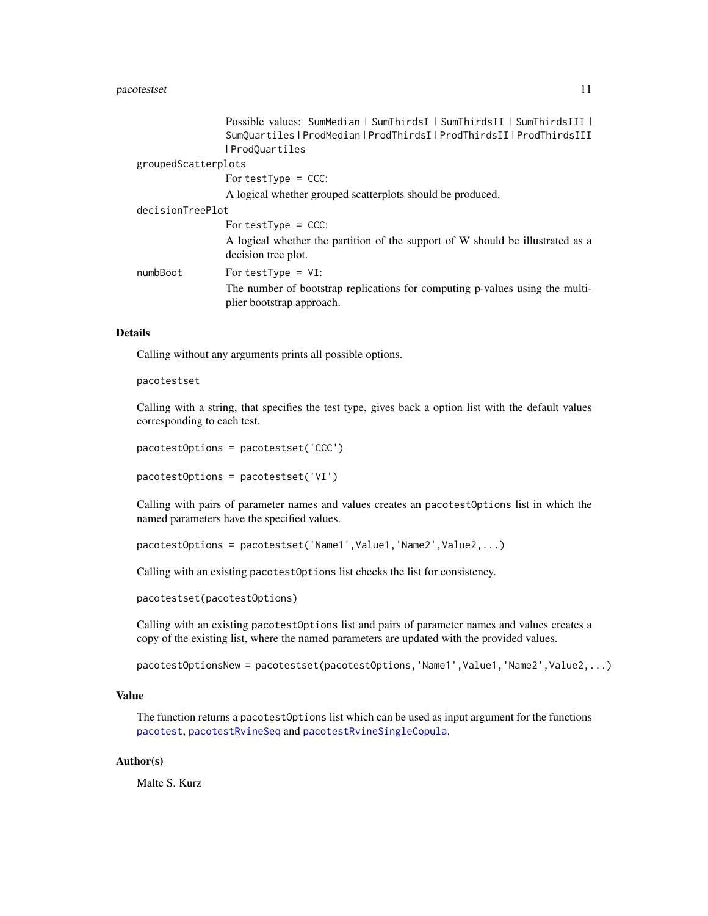#### <span id="page-10-0"></span>pacotestset 11

|                     | Possible values: SumMedian   SumThirdsI   SumThirdsII   SumThirdsIII                                      |
|---------------------|-----------------------------------------------------------------------------------------------------------|
|                     | SumQuartiles   ProdMedian   ProdThirdsI   ProdThirdsII   ProdThirdsIII                                    |
|                     | ProdQuartiles                                                                                             |
| groupedScatterplots |                                                                                                           |
|                     | For test Type $=$ CCC:                                                                                    |
|                     | A logical whether grouped scatterplots should be produced.                                                |
| decisionTreePlot    |                                                                                                           |
|                     | For test Type $=$ CCC:                                                                                    |
|                     | A logical whether the partition of the support of W should be illustrated as a<br>decision tree plot.     |
| numbBoot            | For testType = $VI$ :                                                                                     |
|                     | The number of bootstrap replications for computing p-values using the multi-<br>plier bootstrap approach. |

#### Details

Calling without any arguments prints all possible options.

#### pacotestset

Calling with a string, that specifies the test type, gives back a option list with the default values corresponding to each test.

```
pacotestOptions = pacotestset('CCC')
```
pacotestOptions = pacotestset('VI')

Calling with pairs of parameter names and values creates an pacotestOptions list in which the named parameters have the specified values.

pacotestOptions = pacotestset('Name1',Value1,'Name2',Value2,...)

Calling with an existing pacotestOptions list checks the list for consistency.

pacotestset(pacotestOptions)

Calling with an existing pacotestOptions list and pairs of parameter names and values creates a copy of the existing list, where the named parameters are updated with the provided values.

pacotestOptionsNew = pacotestset(pacotestOptions,'Name1',Value1,'Name2',Value2,...)

#### Value

The function returns a pacotestOptions list which can be used as input argument for the functions [pacotest](#page-2-1), [pacotestRvineSeq](#page-4-1) and [pacotestRvineSingleCopula](#page-6-1).

#### Author(s)

Malte S. Kurz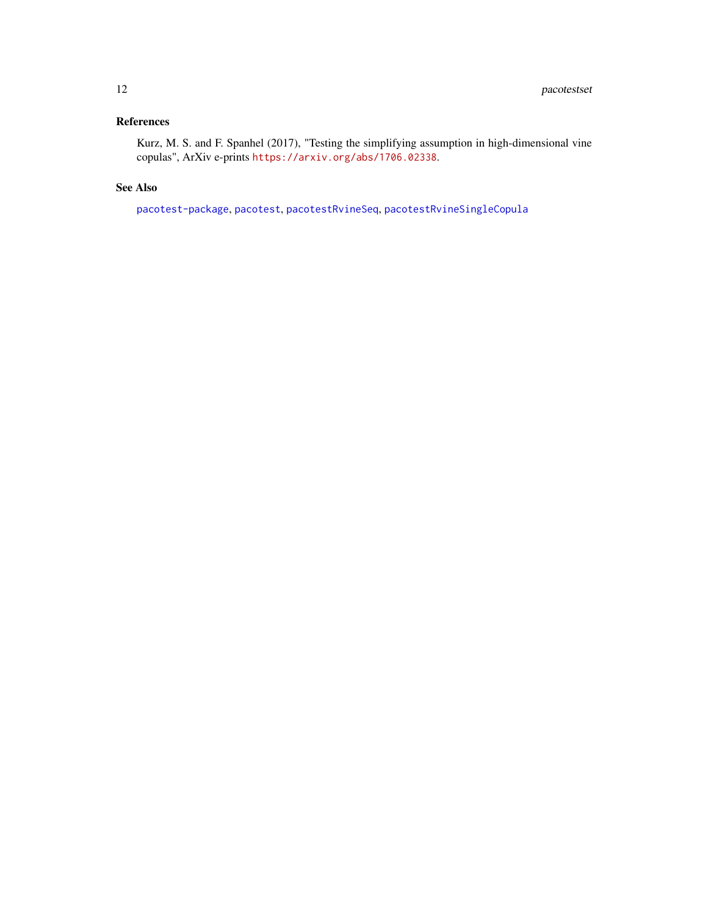#### <span id="page-11-0"></span>References

Kurz, M. S. and F. Spanhel (2017), "Testing the simplifying assumption in high-dimensional vine copulas", ArXiv e-prints <https://arxiv.org/abs/1706.02338>.

#### See Also

[pacotest-package](#page-1-1), [pacotest](#page-2-1), [pacotestRvineSeq](#page-4-1), [pacotestRvineSingleCopula](#page-6-1)